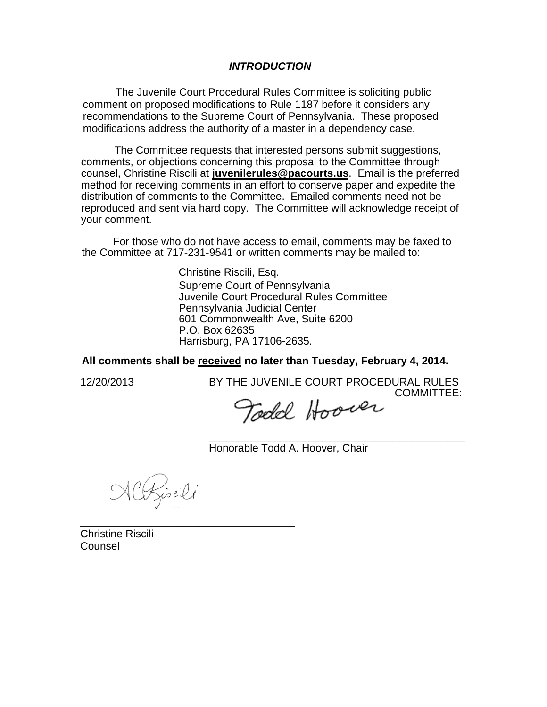## *INTRODUCTION*

The Juvenile Court Procedural Rules Committee is soliciting public comment on proposed modifications to Rule 1187 before it considers any recommendations to the Supreme Court of Pennsylvania. These proposed modifications address the authority of a master in a dependency case.

The Committee requests that interested persons submit suggestions, comments, or objections concerning this proposal to the Committee through counsel, Christine Riscili at **juvenilerules@pacourts.us**. Email is the preferred method for receiving comments in an effort to conserve paper and expedite the distribution of comments to the Committee. Emailed comments need not be reproduced and sent via hard copy. The Committee will acknowledge receipt of your comment.

For those who do not have access to email, comments may be faxed to the Committee at 717-231-9541 or written comments may be mailed to:

> Christine Riscili, Esq. Supreme Court of Pennsylvania Juvenile Court Procedural Rules Committee Pennsylvania Judicial Center 601 Commonwealth Ave, Suite 6200 P.O. Box 62635 Harrisburg, PA 17106-2635.

**All comments shall be received no later than Tuesday, February 4, 2014.**

12/20/2013 BY THE JUVENILE COURT PROCEDURAL RULES COMMITTEE:

Todd Hoover

**\_\_\_\_\_\_\_\_\_\_\_\_\_\_\_\_\_\_\_\_\_\_\_\_\_\_\_\_\_\_\_\_\_\_\_\_\_\_\_\_\_\_\_**  Honorable Todd A. Hoover, Chair

NCRisili

\_\_\_\_\_\_\_\_\_\_\_\_\_\_\_\_\_\_\_\_\_\_\_\_\_\_\_\_\_\_\_\_\_\_\_\_ Christine Riscili Counsel